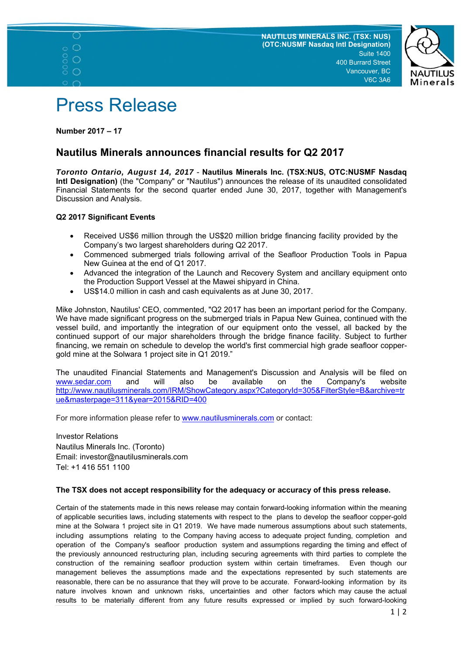





**Number 2017 – 17** 

 $\circ$  $\circ$  $\circ$ 

## **Nautilus Minerals announces financial results for Q2 2017**

*Toronto Ontario, August 14, 2017* - **Nautilus Minerals Inc. (TSX:NUS, OTC:NUSMF Nasdaq Intl Designation)** (the "Company" or "Nautilus") announces the release of its unaudited consolidated Financial Statements for the second quarter ended June 30, 2017, together with Management's Discussion and Analysis.

## **Q2 2017 Significant Events**

- Received US\$6 million through the US\$20 million bridge financing facility provided by the Company's two largest shareholders during Q2 2017.
- Commenced submerged trials following arrival of the Seafloor Production Tools in Papua New Guinea at the end of Q1 2017.
- Advanced the integration of the Launch and Recovery System and ancillary equipment onto the Production Support Vessel at the Mawei shipyard in China.
- US\$14.0 million in cash and cash equivalents as at June 30, 2017.

Mike Johnston, Nautilus' CEO, commented, "Q2 2017 has been an important period for the Company. We have made significant progress on the submerged trials in Papua New Guinea, continued with the vessel build, and importantly the integration of our equipment onto the vessel, all backed by the continued support of our major shareholders through the bridge finance facility. Subject to further financing, we remain on schedule to develop the world's first commercial high grade seafloor coppergold mine at the Solwara 1 project site in Q1 2019."

The unaudited Financial Statements and Management's Discussion and Analysis will be filed on www.sedar.com and will also be available on the Company's website http://www.nautilusminerals.com/IRM/ShowCategory.aspx?CategoryId=305&FilterStyle=B&archive=tr ue&masterpage=311&year=2015&RID=400

For more information please refer to **www.nautilusminerals.com** or contact:

Investor Relations Nautilus Minerals Inc. (Toronto) Email: investor@nautilusminerals.com Tel: +1 416 551 1100

## **The TSX does not accept responsibility for the adequacy or accuracy of this press release.**

Certain of the statements made in this news release may contain forward-looking information within the meaning of applicable securities laws, including statements with respect to the plans to develop the seafloor copper-gold mine at the Solwara 1 project site in Q1 2019. We have made numerous assumptions about such statements, including assumptions relating to the Company having access to adequate project funding, completion and operation of the Company's seafloor production system and assumptions regarding the timing and effect of the previously announced restructuring plan, including securing agreements with third parties to complete the construction of the remaining seafloor production system within certain timeframes. Even though our management believes the assumptions made and the expectations represented by such statements are reasonable, there can be no assurance that they will prove to be accurate. Forward-looking information by its nature involves known and unknown risks, uncertainties and other factors which may cause the actual results to be materially different from any future results expressed or implied by such forward-looking